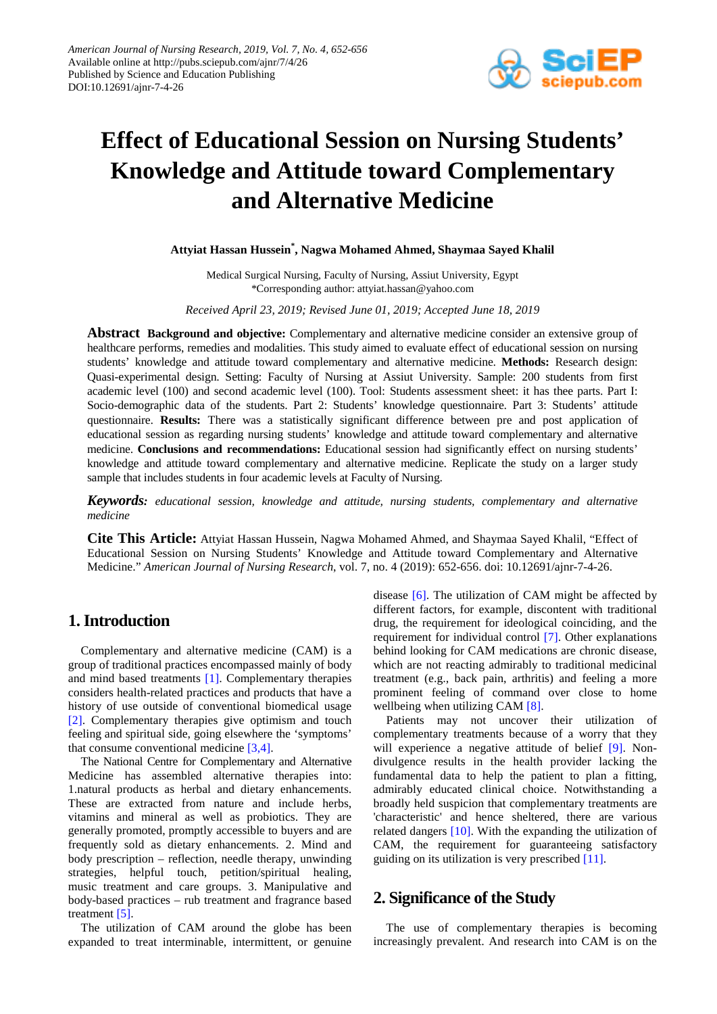

# **Effect of Educational Session on Nursing Students' Knowledge and Attitude toward Complementary and Alternative Medicine**

## **Attyiat Hassan Hussein\* , Nagwa Mohamed Ahmed, Shaymaa Sayed Khalil**

Medical Surgical Nursing, Faculty of Nursing, Assiut University, Egypt \*Corresponding author: attyiat.hassan@yahoo.com

*Received April 23, 2019; Revised June 01, 2019; Accepted June 18, 2019*

**Abstract Background and objective:** Complementary and alternative medicine consider an extensive group of healthcare performs, remedies and modalities. This study aimed to evaluate effect of educational session on nursing students' knowledge and attitude toward complementary and alternative medicine. **Methods:** Research design: Quasi-experimental design. Setting: Faculty of Nursing at Assiut University. Sample: 200 students from first academic level (100) and second academic level (100). Tool: Students assessment sheet: it has thee parts. Part I: Socio-demographic data of the students. Part 2: Students' knowledge questionnaire. Part 3: Students' attitude questionnaire. **Results:** There was a statistically significant difference between pre and post application of educational session as regarding nursing students' knowledge and attitude toward complementary and alternative medicine. **Conclusions and recommendations:** Educational session had significantly effect on nursing students' knowledge and attitude toward complementary and alternative medicine. Replicate the study on a larger study sample that includes students in four academic levels at Faculty of Nursing.

*Keywords: educational session, knowledge and attitude, nursing students, complementary and alternative medicine*

**Cite This Article:** Attyiat Hassan Hussein, Nagwa Mohamed Ahmed, and Shaymaa Sayed Khalil, "Effect of Educational Session on Nursing Students' Knowledge and Attitude toward Complementary and Alternative Medicine." *American Journal of Nursing Research*, vol. 7, no. 4 (2019): 652-656. doi: 10.12691/ajnr-7-4-26.

# **1. Introduction**

Complementary and alternative medicine (CAM) is a group of traditional practices encompassed mainly of body and mind based treatments [\[1\].](#page-3-0) Complementary therapies considers health-related practices and products that have a history of use outside of conventional biomedical usage [\[2\].](#page-3-1) Complementary therapies give optimism and touch feeling and spiritual side, going elsewhere the 'symptoms' that consume conventional medicine [\[3,4\].](#page-3-2)

The National Centre for Complementary and Alternative Medicine has assembled alternative therapies into: 1.natural products as herbal and dietary enhancements. These are extracted from nature and include herbs, vitamins and mineral as well as probiotics. They are generally promoted, promptly accessible to buyers and are frequently sold as dietary enhancements. 2. Mind and body prescription – reflection, needle therapy, unwinding strategies, helpful touch, petition/spiritual healing, music treatment and care groups. 3. Manipulative and body-based practices – rub treatment and fragrance based treatment [\[5\].](#page-3-3)

The utilization of CAM around the globe has been expanded to treat interminable, intermittent, or genuine disease [\[6\].](#page-3-4) The utilization of CAM might be affected by different factors, for example, discontent with traditional drug, the requirement for ideological coinciding, and the requirement for individual control [\[7\].](#page-3-5) Other explanations behind looking for CAM medications are chronic disease, which are not reacting admirably to traditional medicinal treatment (e.g., back pain, arthritis) and feeling a more prominent feeling of command over close to home wellbeing when utilizing CAM [\[8\].](#page-3-6)

Patients may not uncover their utilization of complementary treatments because of a worry that they will experience a negative attitude of belief [\[9\].](#page-4-0) Nondivulgence results in the health provider lacking the fundamental data to help the patient to plan a fitting, admirably educated clinical choice. Notwithstanding a broadly held suspicion that complementary treatments are 'characteristic' and hence sheltered, there are various related dangers [\[10\].](#page-4-1) With the expanding the utilization of CAM, the requirement for guaranteeing satisfactory guiding on its utilization is very prescribed [\[11\].](#page-4-2)

# **2. Significance of the Study**

The use of complementary therapies is becoming increasingly prevalent. And research into CAM is on the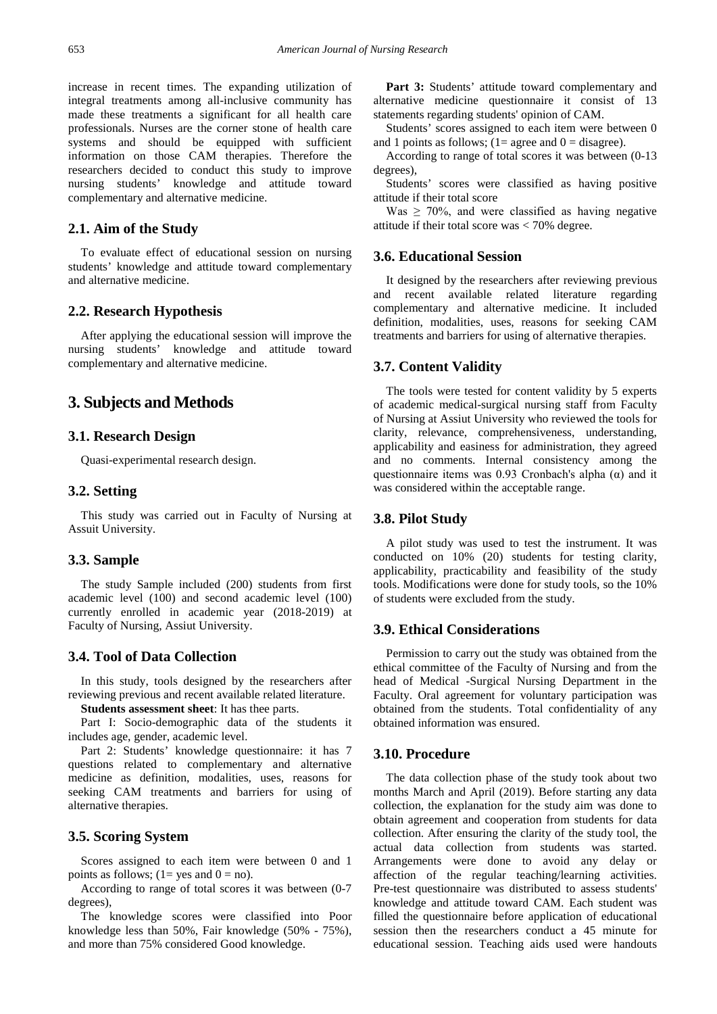increase in recent times. The expanding utilization of integral treatments among all-inclusive community has made these treatments a significant for all health care professionals. Nurses are the corner stone of health care systems and should be equipped with sufficient information on those CAM therapies. Therefore the researchers decided to conduct this study to improve nursing students' knowledge and attitude toward complementary and alternative medicine.

## **2.1. Aim of the Study**

To evaluate effect of educational session on nursing students' knowledge and attitude toward complementary and alternative medicine.

## **2.2. Research Hypothesis**

After applying the educational session will improve the nursing students' knowledge and attitude toward complementary and alternative medicine.

## **3. Subjects and Methods**

## **3.1. Research Design**

Quasi-experimental research design.

#### **3.2. Setting**

This study was carried out in Faculty of Nursing at Assuit University.

#### **3.3. Sample**

The study Sample included (200) students from first academic level (100) and second academic level (100) currently enrolled in academic year (2018-2019) at Faculty of Nursing, Assiut University.

## **3.4. Tool of Data Collection**

In this study, tools designed by the researchers after reviewing previous and recent available related literature.

**Students assessment sheet**: It has thee parts.

Part I: Socio-demographic data of the students it includes age, gender, academic level.

Part 2: Students' knowledge questionnaire: it has 7 questions related to complementary and alternative medicine as definition, modalities, uses, reasons for seeking CAM treatments and barriers for using of alternative therapies.

## **3.5. Scoring System**

Scores assigned to each item were between 0 and 1 points as follows;  $(1 = yes \text{ and } 0 = no)$ .

According to range of total scores it was between (0-7 degrees),

The knowledge scores were classified into Poor knowledge less than 50%, Fair knowledge (50% - 75%), and more than 75% considered Good knowledge.

Part 3: Students' attitude toward complementary and alternative medicine questionnaire it consist of 13 statements regarding students' opinion of CAM.

Students' scores assigned to each item were between 0 and 1 points as follows;  $(1=$  agree and  $0=$  disagree).

According to range of total scores it was between (0-13 degrees),

Students' scores were classified as having positive attitude if their total score

Was  $\geq$  70%, and were classified as having negative attitude if their total score was < 70% degree.

## **3.6. Educational Session**

It designed by the researchers after reviewing previous and recent available related literature regarding complementary and alternative medicine. It included definition, modalities, uses, reasons for seeking CAM treatments and barriers for using of alternative therapies.

## **3.7. Content Validity**

The tools were tested for content validity by 5 experts of academic medical-surgical nursing staff from Faculty of Nursing at Assiut University who reviewed the tools for clarity, relevance, comprehensiveness, understanding, applicability and easiness for administration, they agreed and no comments. Internal consistency among the questionnaire items was 0.93 Cronbach's alpha (α) and it was considered within the acceptable range.

## **3.8. Pilot Study**

A pilot study was used to test the instrument. It was conducted on 10% (20) students for testing clarity, applicability, practicability and feasibility of the study tools. Modifications were done for study tools, so the 10% of students were excluded from the study.

## **3.9. Ethical Considerations**

Permission to carry out the study was obtained from the ethical committee of the Faculty of Nursing and from the head of Medical -Surgical Nursing Department in the Faculty. Oral agreement for voluntary participation was obtained from the students. Total confidentiality of any obtained information was ensured.

## **3.10. Procedure**

The data collection phase of the study took about two months March and April (2019). Before starting any data collection, the explanation for the study aim was done to obtain agreement and cooperation from students for data collection. After ensuring the clarity of the study tool, the actual data collection from students was started. Arrangements were done to avoid any delay or affection of the regular teaching/learning activities. Pre-test questionnaire was distributed to assess students' knowledge and attitude toward CAM. Each student was filled the questionnaire before application of educational session then the researchers conduct a 45 minute for educational session. Teaching aids used were handouts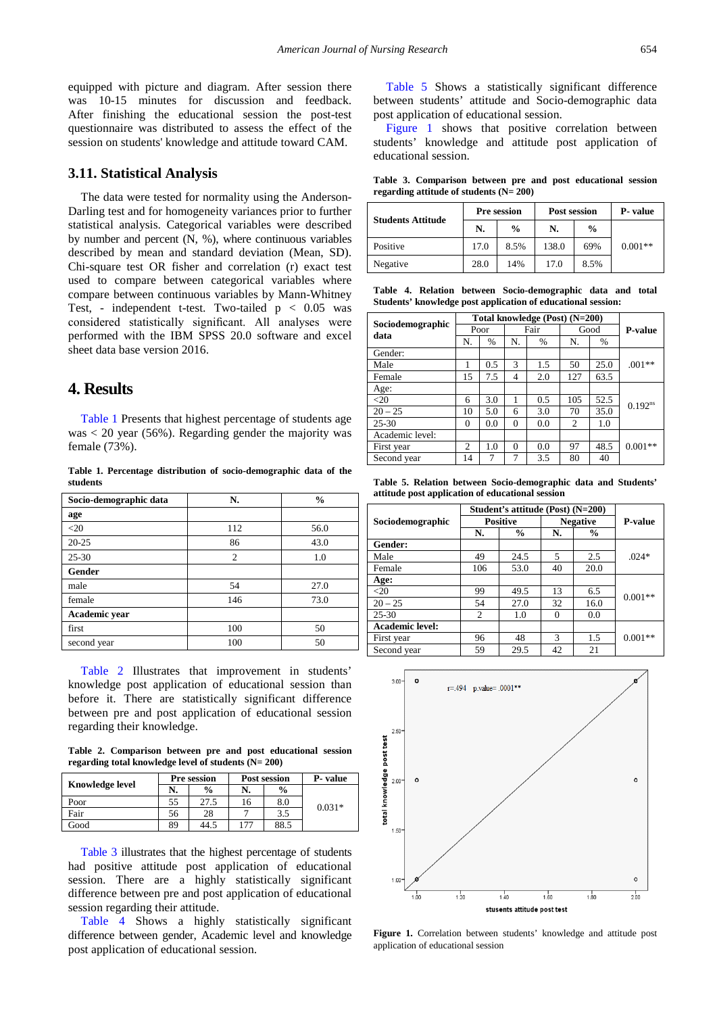equipped with picture and diagram. After session there was 10-15 minutes for discussion and feedback. After finishing the educational session the post-test questionnaire was distributed to assess the effect of the session on students' knowledge and attitude toward CAM.

## **3.11. Statistical Analysis**

The data were tested for normality using the Anderson-Darling test and for homogeneity variances prior to further statistical analysis. Categorical variables were described by number and percent (N, %), where continuous variables described by mean and standard deviation (Mean, SD). Chi-square test OR fisher and correlation (r) exact test used to compare between categorical variables where compare between continuous variables by Mann-Whitney Test, - independent t-test. Two-tailed p < 0.05 was considered statistically significant. All analyses were performed with the IBM SPSS 20.0 software and excel sheet data base version 2016.

# **4. Results**

[Table 1](#page-2-0) Presents that highest percentage of students age was < 20 year (56%). Regarding gender the majority was female (73%).

**Table 1. Percentage distribution of socio-demographic data of the students**

<span id="page-2-0"></span>

| Socio-demographic data | N.             | $\frac{0}{0}$ |
|------------------------|----------------|---------------|
| age                    |                |               |
| $<$ 20                 | 112            | 56.0          |
| $20 - 25$              | 86             | 43.0          |
| $25 - 30$              | $\overline{c}$ | 1.0           |
| Gender                 |                |               |
| male                   | 54             | 27.0          |
| female                 | 146            | 73.0          |
| Academic year          |                |               |
| first                  | 100            | 50            |
| second year            | 100            | 50            |

[Table 2](#page-2-1) Illustrates that improvement in students' knowledge post application of educational session than before it. There are statistically significant difference between pre and post application of educational session regarding their knowledge.

**Table 2. Comparison between pre and post educational session regarding total knowledge level of students (N= 200)**

<span id="page-2-1"></span>

|                        | <b>Pre session</b> |               |     | <b>Post session</b> | P-value  |
|------------------------|--------------------|---------------|-----|---------------------|----------|
| <b>Knowledge level</b> | N.                 | $\frac{0}{0}$ | N.  | $\frac{0}{0}$       |          |
| Poor                   | 55                 | 27.5          | 16  | 8.0                 | $0.031*$ |
| Fair                   | 56                 | 28            |     | 3.5                 |          |
| Good                   | 89                 | 44.5          | 177 | 88.5                |          |

[Table 3](#page-2-2) illustrates that the highest percentage of students had positive attitude post application of educational session. There are a highly statistically significant difference between pre and post application of educational session regarding their attitude.

[Table 4](#page-2-3) Shows a highly statistically significant difference between gender, Academic level and knowledge post application of educational session.

[Table 5](#page-2-4) Shows a statistically significant difference between students' attitude and Socio-demographic data post application of educational session.

[Figure 1](#page-2-5) shows that positive correlation between students' knowledge and attitude post application of educational session.

**Table 3. Comparison between pre and post educational session regarding attitude of students (N= 200)**

<span id="page-2-2"></span>

| <b>Students Attitude</b> | <b>Pre session</b> |               | Post session | P- value      |           |  |
|--------------------------|--------------------|---------------|--------------|---------------|-----------|--|
|                          | N.                 | $\frac{0}{0}$ | N.           | $\frac{0}{0}$ |           |  |
| Positive                 | 17.0               | 8.5%          | 138.0        | 69%           | $0.001**$ |  |
| Negative                 | 28.0               | 14%           | 17.0         | 8.5%          |           |  |

**Table 4. Relation between Socio-demographic data and total Students' knowledge post application of educational session:** 

<span id="page-2-3"></span>

|                          | Total knowledge (Post) (N=200) |               |          |               |                |      |                |
|--------------------------|--------------------------------|---------------|----------|---------------|----------------|------|----------------|
| Sociodemographic<br>data | Poor                           |               | Fair     |               | Good           |      | <b>P-value</b> |
|                          | N.                             | $\frac{0}{6}$ | N.       | $\frac{0}{0}$ | N.             | $\%$ |                |
| Gender:                  |                                |               |          |               |                |      |                |
| Male                     |                                | 0.5           | 3        | 1.5           | 50             | 25.0 | $.001**$       |
| Female                   | 15                             | 7.5           | 4        | 2.0           | 127            | 63.5 |                |
| Age:                     |                                |               |          |               |                |      |                |
| $<$ 20                   | 6                              | 3.0           |          | 0.5           | 105            | 52.5 | $0.192^{ns}$   |
| $20 - 25$                | 10                             | 5.0           | 6        | 3.0           | 70             | 35.0 |                |
| $25 - 30$                | $\Omega$                       | 0.0           | $\theta$ | 0.0           | $\overline{c}$ | 1.0  |                |
| Academic level:          |                                |               |          |               |                |      |                |
| First year               | $\overline{c}$                 | 1.0           | $\Omega$ | 0.0           | 97             | 48.5 | $0.001**$      |
| Second year              | 14                             |               |          | 3.5           | 80             | 40   |                |

**Table 5. Relation between Socio-demographic data and Students' attitude post application of educational session** 

<span id="page-2-4"></span>

|                        | Student's attitude (Post) (N=200) |               |    |                 |                |
|------------------------|-----------------------------------|---------------|----|-----------------|----------------|
| Sociodemographic       | <b>Positive</b>                   |               |    | <b>Negative</b> | <b>P-value</b> |
|                        | N.                                | $\frac{0}{0}$ | N. | $\frac{0}{0}$   |                |
| Gender:                |                                   |               |    |                 |                |
| Male                   | 49                                | 24.5          | 5  | 2.5             | $.024*$        |
| Female                 | 106                               | 53.0          | 40 | 20.0            |                |
| Age:                   |                                   |               |    |                 |                |
| $<$ 20                 | 99                                | 49.5          | 13 | 6.5             |                |
| $20 - 25$              | 54                                | 27.0          | 32 | 16.0            | $0.001**$      |
| $25 - 30$              | $\overline{c}$                    | 1.0           | 0  | 0.0             |                |
| <b>Academic level:</b> |                                   |               |    |                 |                |
| First year             | 96                                | 48            | 3  | 1.5             | $0.001**$      |
| Second year            | 59                                | 29.5          | 42 | 21              |                |

<span id="page-2-5"></span>

Figure 1. Correlation between students' knowledge and attitude post application of educational session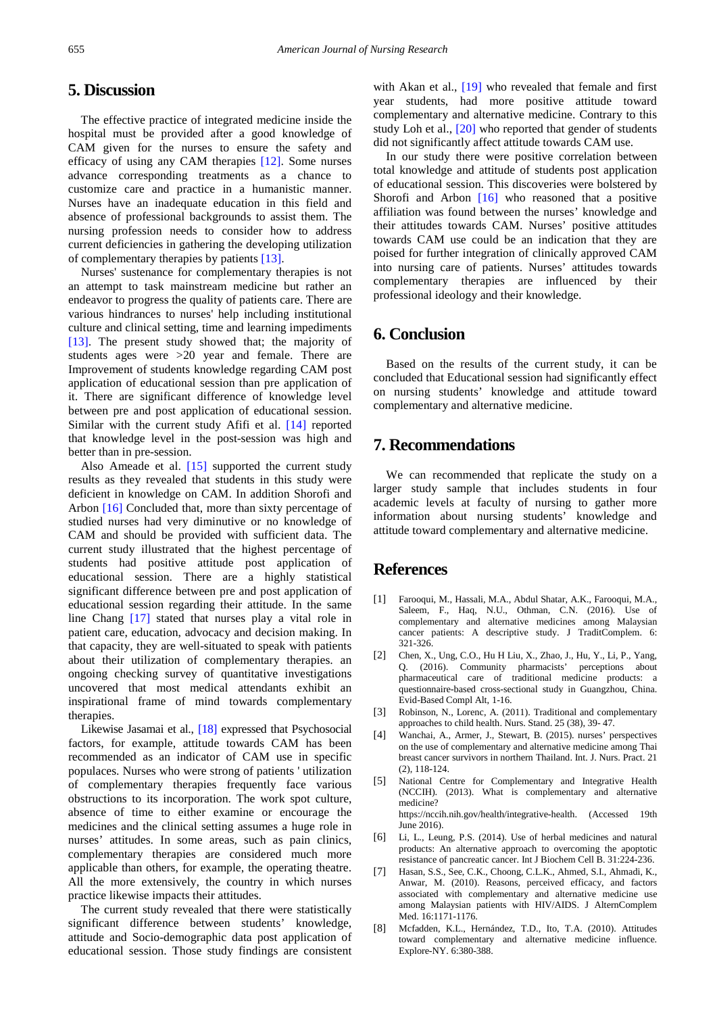# **5. Discussion**

The effective practice of integrated medicine inside the hospital must be provided after a good knowledge of CAM given for the nurses to ensure the safety and efficacy of using any CAM therapies [\[12\].](#page-4-3) Some nurses advance corresponding treatments as a chance to customize care and practice in a humanistic manner. Nurses have an inadequate education in this field and absence of professional backgrounds to assist them. The nursing profession needs to consider how to address current deficiencies in gathering the developing utilization of complementary therapies by patients [\[13\].](#page-4-4)

Nurses' sustenance for complementary therapies is not an attempt to task mainstream medicine but rather an endeavor to progress the quality of patients care. There are various hindrances to nurses' help including institutional culture and clinical setting, time and learning impediments [\[13\].](#page-4-4) The present study showed that; the majority of students ages were >20 year and female. There are Improvement of students knowledge regarding CAM post application of educational session than pre application of it. There are significant difference of knowledge level between pre and post application of educational session. Similar with the current study Afifi et al. [\[14\]](#page-4-5) reported that knowledge level in the post-session was high and better than in pre-session.

Also Ameade et al. [\[15\]](#page-4-6) supported the current study results as they revealed that students in this study were deficient in knowledge on CAM. In addition Shorofi and Arbon [\[16\]](#page-4-7) Concluded that, more than sixty percentage of studied nurses had very diminutive or no knowledge of CAM and should be provided with sufficient data. The current study illustrated that the highest percentage of students had positive attitude post application of educational session. There are a highly statistical significant difference between pre and post application of educational session regarding their attitude. In the same line Chang [\[17\]](#page-4-8) stated that nurses play a vital role in patient care, education, advocacy and decision making. In that capacity, they are well-situated to speak with patients about their utilization of complementary therapies. an ongoing checking survey of quantitative investigations uncovered that most medical attendants exhibit an inspirational frame of mind towards complementary therapies.

Likewise Jasamai et al., [\[18\]](#page-4-9) expressed that Psychosocial factors, for example, attitude towards CAM has been recommended as an indicator of CAM use in specific populaces. Nurses who were strong of patients ' utilization of complementary therapies frequently face various obstructions to its incorporation. The work spot culture, absence of time to either examine or encourage the medicines and the clinical setting assumes a huge role in nurses' attitudes. In some areas, such as pain clinics, complementary therapies are considered much more applicable than others, for example, the operating theatre. All the more extensively, the country in which nurses practice likewise impacts their attitudes.

The current study revealed that there were statistically significant difference between students' knowledge, attitude and Socio-demographic data post application of educational session. Those study findings are consistent with Akan et al., [\[19\]](#page-4-10) who revealed that female and first year students, had more positive attitude toward complementary and alternative medicine. Contrary to this study Loh et al., [\[20\]](#page-4-11) who reported that gender of students did not significantly affect attitude towards CAM use.

In our study there were positive correlation between total knowledge and attitude of students post application of educational session. This discoveries were bolstered by Shorofi and Arbon [\[16\]](#page-4-7) who reasoned that a positive affiliation was found between the nurses' knowledge and their attitudes towards CAM. Nurses' positive attitudes towards CAM use could be an indication that they are poised for further integration of clinically approved CAM into nursing care of patients. Nurses' attitudes towards complementary therapies are influenced by their professional ideology and their knowledge.

# **6. Conclusion**

Based on the results of the current study, it can be concluded that Educational session had significantly effect on nursing students' knowledge and attitude toward complementary and alternative medicine.

# **7. Recommendations**

We can recommended that replicate the study on a larger study sample that includes students in four academic levels at faculty of nursing to gather more information about nursing students' knowledge and attitude toward complementary and alternative medicine.

# **References**

- <span id="page-3-0"></span>[1] Farooqui, M., Hassali, M.A., Abdul Shatar, A.K., Farooqui, M.A., Saleem, F., Haq, N.U., Othman, C.N. (2016). Use of complementary and alternative medicines among Malaysian cancer patients: A descriptive study. J TraditComplem. 6: 321-326.
- <span id="page-3-1"></span>[2] Chen, X., Ung, C.O., Hu H Liu, X., Zhao, J., Hu, Y., Li, P., Yang, Q. (2016). Community pharmacists' perceptions about pharmaceutical care of traditional medicine products: a questionnaire-based cross-sectional study in Guangzhou, China. Evid-Based Compl Alt, 1-16.
- <span id="page-3-2"></span>[3] Robinson, N., Lorenc, A. (2011). Traditional and complementary approaches to child health. Nurs. Stand. 25 (38), 39- 47.
- [4] Wanchai, A., Armer, J., Stewart, B. (2015). nurses' perspectives on the use of complementary and alternative medicine among Thai breast cancer survivors in northern Thailand. Int. J. Nurs. Pract. 21 (2), 118-124.
- <span id="page-3-3"></span>[5] National Centre for Complementary and Integrative Health (NCCIH). (2013). What is complementary and alternative medicine? https://nccih.nih.gov/health/integrative-health. (Accessed 19th June 2016).
- <span id="page-3-4"></span>[6] Li, L., Leung, P.S. (2014). Use of herbal medicines and natural products: An alternative approach to overcoming the apoptotic resistance of pancreatic cancer. Int J Biochem Cell B. 31:224-236.
- <span id="page-3-5"></span>[7] Hasan, S.S., See, C.K., Choong, C.L.K., Ahmed, S.I., Ahmadi, K., Anwar, M. (2010). Reasons, perceived efficacy, and factors associated with complementary and alternative medicine use among Malaysian patients with HIV/AIDS. J AlternComplem Med. 16:1171-1176.
- <span id="page-3-6"></span>[8] Mcfadden, K.L., Hernández, T.D., Ito, T.A. (2010). Attitudes toward complementary and alternative medicine influence. Explore-NY. 6:380-388.